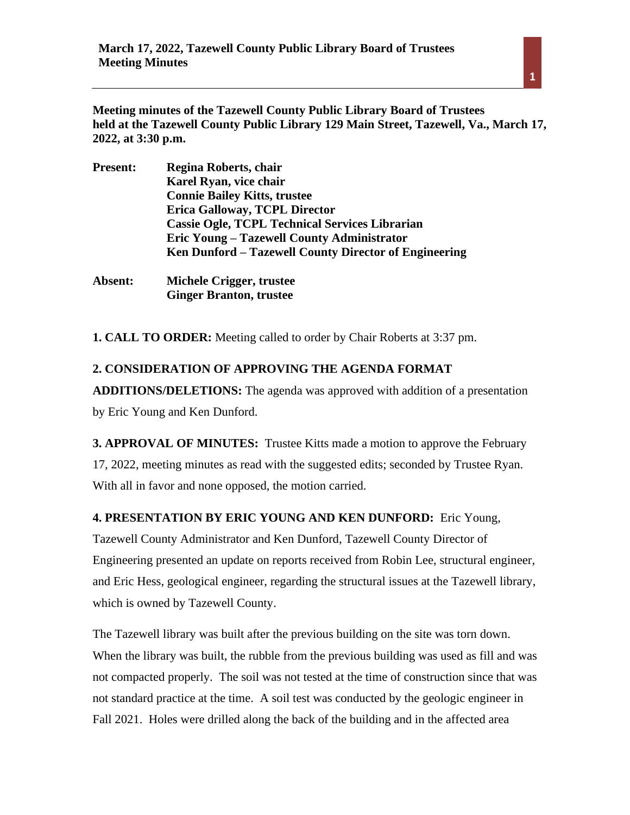**Meeting minutes of the Tazewell County Public Library Board of Trustees held at the Tazewell County Public Library 129 Main Street, Tazewell, Va., March 17, 2022, at 3:30 p.m.** 

| <b>Present:</b> | Regina Roberts, chair                                 |
|-----------------|-------------------------------------------------------|
|                 | Karel Ryan, vice chair                                |
|                 | <b>Connie Bailey Kitts, trustee</b>                   |
|                 | <b>Erica Galloway, TCPL Director</b>                  |
|                 | <b>Cassie Ogle, TCPL Technical Services Librarian</b> |
|                 | Eric Young – Tazewell County Administrator            |
|                 | Ken Dunford – Tazewell County Director of Engineering |
|                 |                                                       |

**Absent: Michele Crigger, trustee Ginger Branton, trustee**

**1. CALL TO ORDER:** Meeting called to order by Chair Roberts at 3:37 pm.

## **2. CONSIDERATION OF APPROVING THE AGENDA FORMAT**

**ADDITIONS/DELETIONS:** The agenda was approved with addition of a presentation by Eric Young and Ken Dunford.

**3. APPROVAL OF MINUTES:** Trustee Kitts made a motion to approve the February 17, 2022, meeting minutes as read with the suggested edits; seconded by Trustee Ryan. With all in favor and none opposed, the motion carried.

#### **4. PRESENTATION BY ERIC YOUNG AND KEN DUNFORD:** Eric Young,

Tazewell County Administrator and Ken Dunford, Tazewell County Director of Engineering presented an update on reports received from Robin Lee, structural engineer, and Eric Hess, geological engineer, regarding the structural issues at the Tazewell library, which is owned by Tazewell County.

The Tazewell library was built after the previous building on the site was torn down. When the library was built, the rubble from the previous building was used as fill and was not compacted properly. The soil was not tested at the time of construction since that was not standard practice at the time. A soil test was conducted by the geologic engineer in Fall 2021. Holes were drilled along the back of the building and in the affected area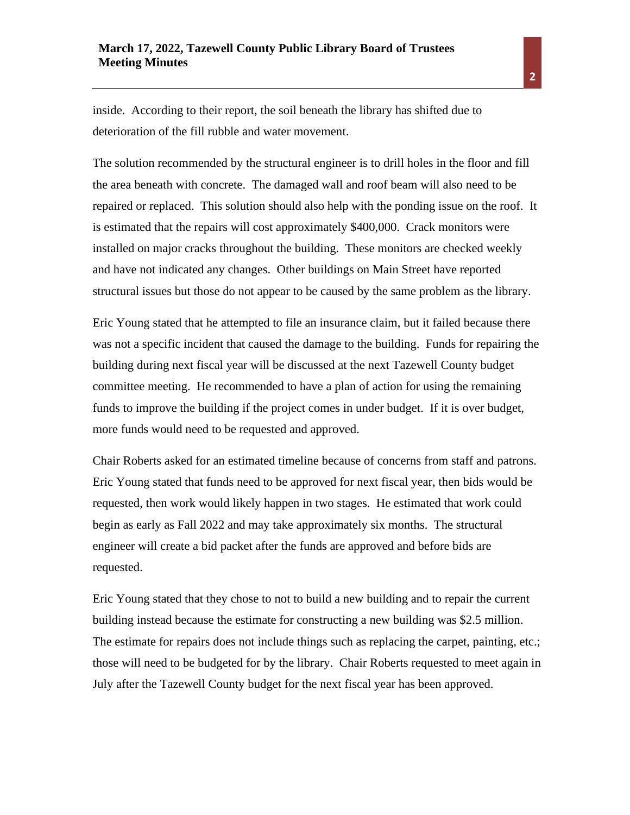inside. According to their report, the soil beneath the library has shifted due to deterioration of the fill rubble and water movement.

The solution recommended by the structural engineer is to drill holes in the floor and fill the area beneath with concrete. The damaged wall and roof beam will also need to be repaired or replaced. This solution should also help with the ponding issue on the roof. It is estimated that the repairs will cost approximately \$400,000. Crack monitors were installed on major cracks throughout the building. These monitors are checked weekly and have not indicated any changes. Other buildings on Main Street have reported structural issues but those do not appear to be caused by the same problem as the library.

Eric Young stated that he attempted to file an insurance claim, but it failed because there was not a specific incident that caused the damage to the building. Funds for repairing the building during next fiscal year will be discussed at the next Tazewell County budget committee meeting. He recommended to have a plan of action for using the remaining funds to improve the building if the project comes in under budget. If it is over budget, more funds would need to be requested and approved.

Chair Roberts asked for an estimated timeline because of concerns from staff and patrons. Eric Young stated that funds need to be approved for next fiscal year, then bids would be requested, then work would likely happen in two stages. He estimated that work could begin as early as Fall 2022 and may take approximately six months. The structural engineer will create a bid packet after the funds are approved and before bids are requested.

Eric Young stated that they chose to not to build a new building and to repair the current building instead because the estimate for constructing a new building was \$2.5 million. The estimate for repairs does not include things such as replacing the carpet, painting, etc.; those will need to be budgeted for by the library. Chair Roberts requested to meet again in July after the Tazewell County budget for the next fiscal year has been approved.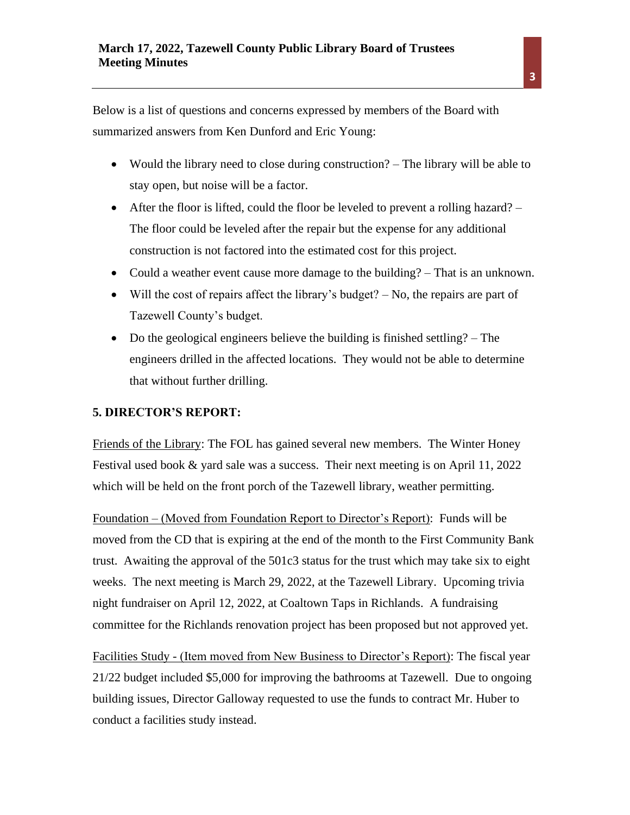Below is a list of questions and concerns expressed by members of the Board with summarized answers from Ken Dunford and Eric Young:

- Would the library need to close during construction? The library will be able to stay open, but noise will be a factor.
- After the floor is lifted, could the floor be leveled to prevent a rolling hazard? The floor could be leveled after the repair but the expense for any additional construction is not factored into the estimated cost for this project.
- Could a weather event cause more damage to the building? That is an unknown.
- Will the cost of repairs affect the library's budget?  $-$  No, the repairs are part of Tazewell County's budget.
- Do the geological engineers believe the building is finished settling? The engineers drilled in the affected locations. They would not be able to determine that without further drilling.

## **5. DIRECTOR'S REPORT:**

Friends of the Library: The FOL has gained several new members. The Winter Honey Festival used book & yard sale was a success. Their next meeting is on April 11, 2022 which will be held on the front porch of the Tazewell library, weather permitting.

Foundation – (Moved from Foundation Report to Director's Report): Funds will be moved from the CD that is expiring at the end of the month to the First Community Bank trust. Awaiting the approval of the 501c3 status for the trust which may take six to eight weeks. The next meeting is March 29, 2022, at the Tazewell Library. Upcoming trivia night fundraiser on April 12, 2022, at Coaltown Taps in Richlands. A fundraising committee for the Richlands renovation project has been proposed but not approved yet.

Facilities Study - (Item moved from New Business to Director's Report): The fiscal year 21/22 budget included \$5,000 for improving the bathrooms at Tazewell. Due to ongoing building issues, Director Galloway requested to use the funds to contract Mr. Huber to conduct a facilities study instead.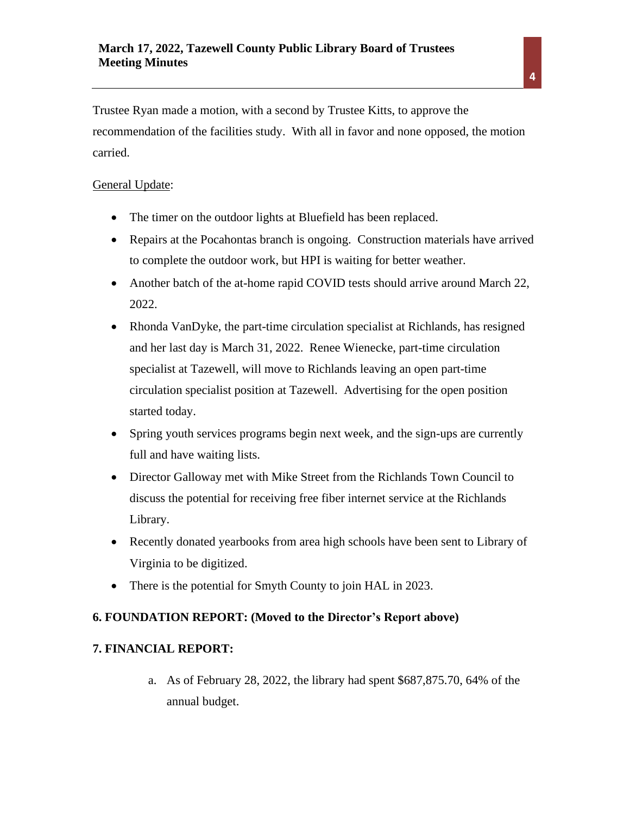Trustee Ryan made a motion, with a second by Trustee Kitts, to approve the recommendation of the facilities study. With all in favor and none opposed, the motion carried.

## General Update:

- The timer on the outdoor lights at Bluefield has been replaced.
- Repairs at the Pocahontas branch is ongoing. Construction materials have arrived to complete the outdoor work, but HPI is waiting for better weather.
- Another batch of the at-home rapid COVID tests should arrive around March 22, 2022.
- Rhonda VanDyke, the part-time circulation specialist at Richlands, has resigned and her last day is March 31, 2022. Renee Wienecke, part-time circulation specialist at Tazewell, will move to Richlands leaving an open part-time circulation specialist position at Tazewell. Advertising for the open position started today.
- Spring youth services programs begin next week, and the sign-ups are currently full and have waiting lists.
- Director Galloway met with Mike Street from the Richlands Town Council to discuss the potential for receiving free fiber internet service at the Richlands Library.
- Recently donated yearbooks from area high schools have been sent to Library of Virginia to be digitized.
- There is the potential for Smyth County to join HAL in 2023.

## **6. FOUNDATION REPORT: (Moved to the Director's Report above)**

## **7. FINANCIAL REPORT:**

a. As of February 28, 2022, the library had spent \$687,875.70, 64% of the annual budget.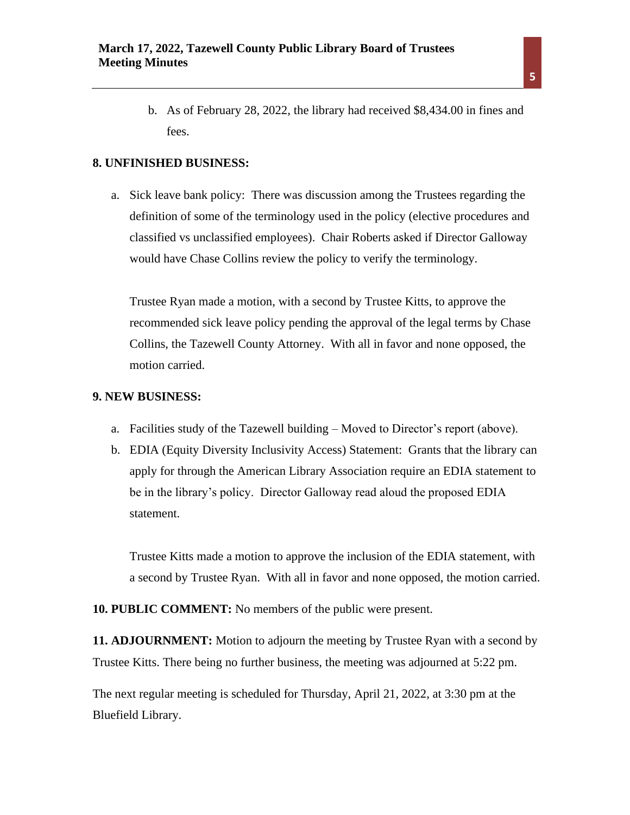b. As of February 28, 2022, the library had received \$8,434.00 in fines and fees.

#### **8. UNFINISHED BUSINESS:**

a. Sick leave bank policy: There was discussion among the Trustees regarding the definition of some of the terminology used in the policy (elective procedures and classified vs unclassified employees). Chair Roberts asked if Director Galloway would have Chase Collins review the policy to verify the terminology.

Trustee Ryan made a motion, with a second by Trustee Kitts, to approve the recommended sick leave policy pending the approval of the legal terms by Chase Collins, the Tazewell County Attorney. With all in favor and none opposed, the motion carried.

#### **9. NEW BUSINESS:**

- a. Facilities study of the Tazewell building Moved to Director's report (above).
- b. EDIA (Equity Diversity Inclusivity Access) Statement: Grants that the library can apply for through the American Library Association require an EDIA statement to be in the library's policy. Director Galloway read aloud the proposed EDIA statement.

Trustee Kitts made a motion to approve the inclusion of the EDIA statement, with a second by Trustee Ryan. With all in favor and none opposed, the motion carried.

**10. PUBLIC COMMENT:** No members of the public were present.

**11. ADJOURNMENT:** Motion to adjourn the meeting by Trustee Ryan with a second by Trustee Kitts. There being no further business, the meeting was adjourned at 5:22 pm.

The next regular meeting is scheduled for Thursday, April 21, 2022, at 3:30 pm at the Bluefield Library.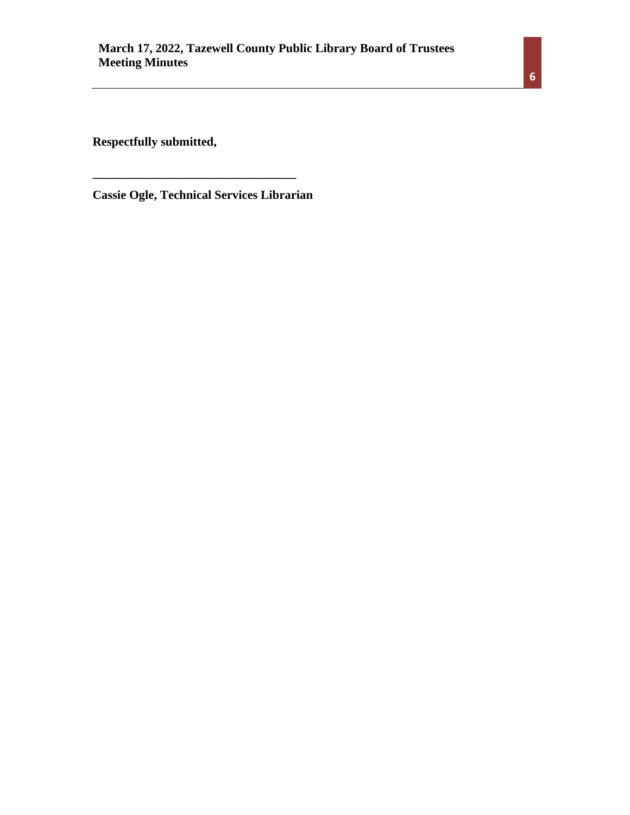**Respectfully submitted,** 

**Cassie Ogle, Technical Services Librarian**

**\_\_\_\_\_\_\_\_\_\_\_\_\_\_\_\_\_\_\_\_\_\_\_\_\_\_\_\_\_\_\_\_\_**